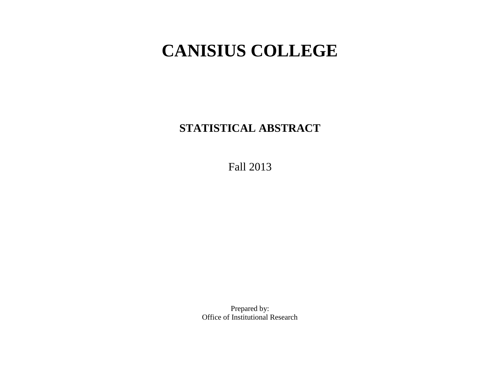# **CANISIUS COLLEGE**

**STATISTICAL ABSTRACT**

Fall 2013

Prepared by: Office of Institutional Research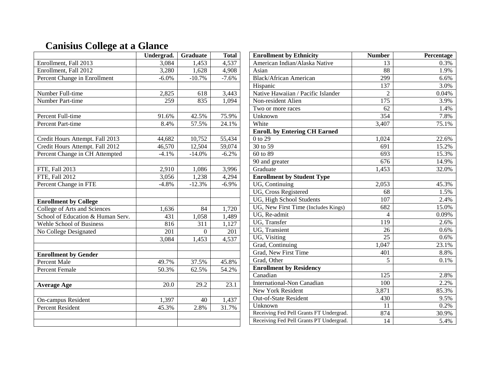## **Canisius College at a Glance**

|                                   | Undergrad. | <b>Graduate</b> | <b>Total</b> |
|-----------------------------------|------------|-----------------|--------------|
| Enrollment, Fall 2013             | 3,084      | 1,453           | 4,537        |
| Enrollment, Fall 2012             | 3,280      | 1,628           | 4,908        |
| Percent Change in Enrollment      | $-6.0\%$   | $-10.7%$        | $-7.6%$      |
|                                   |            |                 |              |
| Number Full-time                  | 2,825      | 618             | 3,443        |
| Number Part-time                  | 259        | 835             | 1,094        |
|                                   |            |                 |              |
| Percent Full-time                 | 91.6%      | 42.5%           | 75.9%        |
| Percent Part-time                 | 8.4%       | 57.5%           | 24.1%        |
|                                   |            |                 |              |
| Credit Hours Attempt. Fall 2013   | 44,682     | 10,752          | 55,434       |
| Credit Hours Attempt. Fall 2012   | 46,570     | 12,504          | 59,074       |
| Percent Change in CH Attempted    | $-4.1%$    | $-14.0%$        | $-6.2%$      |
|                                   |            |                 |              |
| FTE, Fall 2013                    | 2,910      | 1,086           | 3,996        |
| <b>FTE, Fall 2012</b>             | 3,056      | 1,238           | 4,294        |
| Percent Change in FTE             | $-4.8%$    | $-12.3%$        | $-6.9%$      |
|                                   |            |                 |              |
| <b>Enrollment by College</b>      |            |                 |              |
| College of Arts and Sciences      | 1,636      | 84              | 1,720        |
| School of Education & Human Serv. | 431        | 1,058           | 1,489        |
| <b>Wehle School of Business</b>   | 816        | 311             | 1,127        |
| No College Designated             | 201        | 0               | 201          |
|                                   | 3,084      | 1,453           | 4,537        |
|                                   |            |                 |              |
| <b>Enrollment by Gender</b>       |            |                 |              |
| <b>Percent Male</b>               | 49.7%      | 37.5%           | 45.8%        |
| Percent Female                    | 50.3%      | 62.5%           | 54.2%        |
|                                   |            |                 |              |
| <b>Average Age</b>                | 20.0       | 29.2            | 23.1         |
|                                   |            |                 |              |
| On-campus Resident                | 1,397      | 40              | 1,437        |
| <b>Percent Resident</b>           | 45.3%      | 2.8%            | 31.7%        |
|                                   |            |                 |              |
|                                   |            |                 |              |

| <b>Enrollment by Ethnicity</b>          | <b>Number</b>    | Percentage |
|-----------------------------------------|------------------|------------|
| American Indian/Alaska Native           | 13               | 0.3%       |
| Asian                                   | 88               | 1.9%       |
| Black/African American                  | 299              | 6.6%       |
| Hispanic                                | $\overline{137}$ | 3.0%       |
| Native Hawaiian / Pacific Islander      | $\overline{2}$   | 0.04%      |
| Non-resident Alien                      | $\overline{175}$ | 3.9%       |
| Two or more races                       | 62               | 1.4%       |
| Unknown                                 | 354              | 7.8%       |
| White                                   | 3,407            | 75.1%      |
| <b>Enroll.</b> by Entering CH Earned    |                  |            |
| 0 to 29                                 | 1,024            | 22.6%      |
| 30 to 59                                | 691              | 15.2%      |
| 60 to 89                                | 693              | 15.3%      |
| 90 and greater                          | 676              | 14.9%      |
| Graduate                                | 1,453            | 32.0%      |
| <b>Enrollment by Student Type</b>       |                  |            |
| UG, Continuing                          | 2,053            | 45.3%      |
| UG, Cross Registered                    | 68               | 1.5%       |
| UG, High School Students                | 107              | 2.4%       |
| UG, New First Time (Includes Kings)     | 682              | 15.0%      |
| UG, Re-admit                            | $\overline{4}$   | 0.09%      |
| UG, Transfer                            | 119              | 2.6%       |
| UG, Transient                           | 26               | 0.6%       |
| UG, Visiting                            | 25               | 0.6%       |
| Grad, Continuing                        | 1,047            | 23.1%      |
| Grad, New First Time                    | 401              | 8.8%       |
| Grad, Other                             | 5                | 0.1%       |
| <b>Enrollment by Residency</b>          |                  |            |
| Canadian                                | 125              | 2.8%       |
| <b>International-Non Canadian</b>       | 100              | 2.2%       |
| <b>New York Resident</b>                | 3,871            | 85.3%      |
| Out-of-State Resident                   | 430              | 9.5%       |
| Unknown                                 | 11               | 0.2%       |
| Receiving Fed Pell Grants FT Undergrad. | 874              | 30.9%      |
| Receiving Fed Pell Grants PT Undergrad. | 14               | 5.4%       |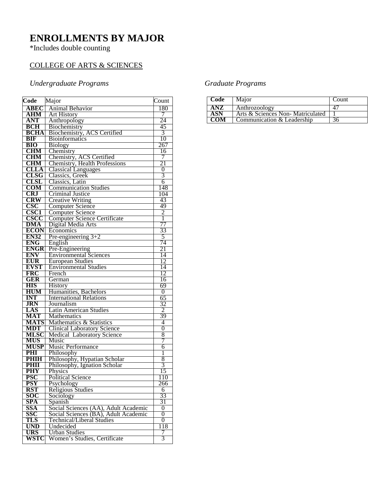## **ENROLLMENTS BY MAJOR**

\*Includes double counting

### COLLEGE OF ARTS & SCIENCES

#### *Undergraduate Programs Graduate Programs*

| Code             | Major                                | Count          |
|------------------|--------------------------------------|----------------|
| <b>ABEC</b>      | <b>Animal Behavior</b>               | 180            |
| <b>AHM</b>       | <b>Art History</b>                   | 7              |
| <b>ANT</b>       | Anthropology                         | 24             |
| <b>BCH</b>       | Biochemistry                         | 45             |
| <b>BCHA</b>      | Biochemistry, ACS Certified          | 3              |
| <b>BIF</b>       | <b>Bioinformatics</b>                | 10             |
| <b>BIO</b>       | <b>Biology</b>                       | 267            |
| <b>CHM</b>       | Chemistry                            | 16             |
| <b>CHM</b>       | Chemistry, ACS Certified             | 7              |
| <b>CHM</b>       | <b>Chemistry, Health Professions</b> | 21             |
| <b>CLLA</b>      | <b>Classical Languages</b>           | 0              |
| CLSG             | Classics, Greek                      | 3              |
| <b>CLSL</b>      | Classics, Latin                      | $\overline{6}$ |
| $_{\rm COM}$     | <b>Communication Studies</b>         | 148            |
| <b>CRJ</b>       | Criminal Justice                     | 104            |
| CRW              | <b>Creative Writing</b>              | 43             |
| $\csc$           | <b>Computer Science</b>              | 49             |
| CSC <sub>1</sub> | <b>Computer Science</b>              | $\overline{2}$ |
| <b>CSCC</b>      | <b>Computer Science Certificate</b>  | $\overline{1}$ |
| <b>DMA</b>       | Digital Media Arts                   | 77             |
| <b>ECON</b>      | Economics                            | 33             |
| <b>EN32</b>      | Pre-engineering $3+2$                | 5              |
| <b>ENG</b>       | English                              | 74             |
| <b>ENGR</b>      | Pre-Engineering                      | 21             |
| <b>ENV</b>       | <b>Environmental Sciences</b>        | 14             |
| <b>EUR</b>       | <b>European Studies</b>              | 12             |
| <b>EVST</b>      | <b>Environmental Studies</b>         | 14             |
| <b>FRC</b>       | French                               | 12             |
| GER              | German                               | 16             |
| HIS              | <b>History</b>                       | 69             |
| <b>HUM</b>       | Humanities, Bachelors                | $\overline{0}$ |
| <b>INT</b>       | <b>International Relations</b>       | 65             |
| <b>JRN</b>       | Journalism                           | 32             |
| LAS              | Latin American Studies               | 2              |
| <b>MAT</b>       | Mathematics                          | 39             |
| <b>MATS</b>      | Mathematics & Statistics             | 4              |
| <b>MDT</b>       | <b>Clinical Laboratory Science</b>   | 0              |
| <b>MLSC</b>      | <b>Medical Laboratory Science</b>    | 8              |
| <b>MUS</b>       | Music                                | 7              |
| <b>MUSP</b>      | <b>Music Performance</b>             | 6              |
| PHI              | Philosophy                           | 1              |
| <b>PHIH</b>      | Philosophy, Hypatian Scholar         | 8              |
| <b>PHII</b>      | Philosophy, Ignation Scholar         | 3              |
| <b>PHY</b>       | Physics                              | 15             |
| <b>PSC</b>       | <b>Political Science</b>             | 110            |
| <b>PSY</b>       | Psychology                           | 266            |
| <b>RST</b>       | Religious Studies                    | 6              |
| <b>SOC</b>       | Sociology                            | 33             |
| <b>SPA</b>       | Spanish                              | 31             |
| SSA              | Social Sciences (AA), Adult Academic | 0              |
| SSC              | Social Sciences (BA), Adult Academic | 0              |
| TLS              | <b>Technical/Liberal Studies</b>     | 0              |
| <b>UND</b>       | Undecided                            | 118            |
| <b>URS</b>       | <b>Urban Studies</b>                 | 7              |
| WSTC             | Women's Studies, Certificate         | 3              |

| Code       | Major                            | Count |
|------------|----------------------------------|-------|
| ANZ        | Anthrozoology                    |       |
| <b>ASN</b> | Arts & Sciences Non-Matriculated |       |
| <b>COM</b> | Communication & Leadership       | 36    |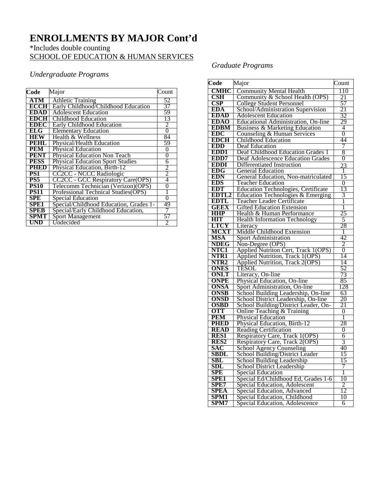## **ENROLLMENTS BY MAJOR Cont'd**

#### \*Includes double counting SCHOOL OF EDUCATION & HUMAN SERVICES

#### *Undergraduate Programs*

| Code        | Major                                   | Count          |
|-------------|-----------------------------------------|----------------|
| ATM         | <b>Athletic Training</b>                | 52             |
| <b>ECCH</b> | Early Childhood/Childhood Education     | 37             |
| <b>EDAD</b> | <b>Adolescent Education</b>             | 59             |
| <b>EDCH</b> | Childhood Education                     | 13             |
| <b>EDEC</b> |                                         | 2              |
|             | Early Childhood Education               |                |
| ELG         | <b>Elementary Education</b>             | $\overline{0}$ |
| <b>HEW</b>  | Health & Wellness                       | 84             |
| PEHL        | <b>Physical/Health Education</b>        | 59             |
| <b>PEM</b>  | <b>Physical Education</b>               | $\overline{0}$ |
| PENT        | <b>Physical Education Non Teach</b>     | $\overline{0}$ |
| <b>PESS</b> | <b>Physical Education Sport Studies</b> | 6              |
| PHED        | Physical Education, Birth-12            | 2              |
| PS1         | CC <sub>2</sub> CC - NCCC Radiologic    | $\overline{2}$ |
| PS5         | CC2CC - GCC Respiratory Care(OPS)       | 4              |
| <b>PS10</b> | Telecomm Technician (Verizon)(OPS)      | $\overline{0}$ |
| <b>PS11</b> | Professional Technical Studies(OPS)     | 1              |
| <b>SPE</b>  | Special Education                       | $\overline{0}$ |
| SPE1        | Special/Childhood Education, Grades 1-  | 49             |
| <b>SPEB</b> | Special/Early Childhood Education,      | 7              |
| SPMT        | <b>Sport Management</b>                 | 57             |
| UND         | Undecided                               | 2              |

#### *Graduate Programs*

| Code                    | Major                                                            | Count           |
|-------------------------|------------------------------------------------------------------|-----------------|
| <b>CMHC</b>             | <b>Community Mental Health</b>                                   | 110             |
| $\overline{\text{CSH}}$ | Community & School Health (OPS)                                  | 21              |
| CSP                     | <b>College Student Personnel</b>                                 | 57              |
| EDA                     | School/Administration Supervision                                | 21              |
| <b>EDAD</b>             | <b>Adolescent Education</b>                                      | 32              |
| <b>EDAO</b>             | Educational Administration, On-line                              | 29              |
| <b>EDBM</b>             | Business & Marketing Education                                   | 4               |
| EDC                     | Counseling & Human Services                                      | 0               |
| <b>EDCH</b>             | <b>Childhood Education</b>                                       | 44              |
| <b>EDD</b>              | Deaf Education                                                   | 7               |
| EDD <sub>1</sub>        | Deaf Childhood Education Grades 1                                | 8               |
| EDD7                    | <b>Deaf Adolescence Education Grades</b>                         | 0               |
| <b>EDDI</b>             | Differentiated Instruction                                       | 23              |
| <b>EDG</b>              | <b>General Education</b>                                         | 1               |
| <b>EDN</b>              | General Education, Non-matriculated                              | 15              |
| <b>EDS</b>              | <b>Teacher Education</b>                                         | 0               |
| <b>EDT</b>              | <b>Education Technologies, Certificate</b>                       | 13              |
| <b>EDTL2</b>            | Education Technologies & Emerging                                | 3               |
| <b>EDTL</b>             | <b>Teacher Leader Certificate</b>                                | 1               |
| <b>GEEX</b>             | <b>Gifted Education Extension</b>                                | 1               |
| HHP                     | Health & Human Performance                                       | 25              |
| <b>HIT</b>              | <b>Health Information Technology</b>                             | 5               |
| <b>LTCY</b>             | Literacy                                                         | 28              |
| <b>MCXT</b>             | Middle Childhood Extension                                       | 1               |
| MSA                     | <b>Sport Administration</b>                                      | 42              |
| <b>NDEG</b>             | Non-Degree (OPS)                                                 | 2               |
| NTC1                    | Applied Nutriton Cert, Track 1(OPS)                              | $\overline{0}$  |
| NTR1                    | Applied Nutrition, Track 1(OPS)                                  | 14              |
| NTR2                    | <b>Applied Nutrition, Track 2(OPS)</b>                           | 14              |
| <b>ONES</b>             | TESOL                                                            | 52              |
| <b>ONLT</b>             | Literacy, On-line                                                | 73              |
| <b>ONPE</b>             | Physical Education, On-line                                      | 85              |
| ONSA                    | Sport Administration, On-line                                    | 128             |
| <b>ONSB</b>             | School Building Leadership, On-line                              | 63              |
| <b>ONSD</b>             | School District Leadership, On-line                              | 20              |
| <b>OSBD</b>             | School Building/District Leader, On-                             | $\overline{21}$ |
| OTT                     | Online Teaching & Training                                       | $\overline{0}$  |
| PEM                     | <b>Physical Education</b>                                        | 1               |
| <b>PHED</b>             | Physical Education, Birth-12                                     | 28              |
| <b>READ</b>             | <b>Reading Certification</b>                                     | 0               |
| <b>RES1</b>             |                                                                  | 6               |
| RES <sub>2</sub>        | Respiratory Care, Track 1(OPS)<br>Respiratory Care, Track 2(OPS) | 3               |
| <b>SAC</b>              | School Agency Counseling                                         | 40              |
| <b>SBDL</b>             | School Building/District Leader                                  | 15              |
| SBL                     | School Building Leadership                                       | 15              |
| SDL                     | School District Leadership                                       | 7               |
| SPE                     | Special Education                                                | 1               |
| <b>SPE1</b>             | Special Ed/Childhood Ed, Grades 1-6                              | 10              |
| SPE7                    | Special Education, Adolescent                                    | 2               |
| <b>SPEA</b>             | Special Education, Advanced                                      | 12              |
| <b>SPM1</b>             | Special Education, Childhood                                     | 10              |
| SPM7                    | Special Education, Adolescence                                   | 6               |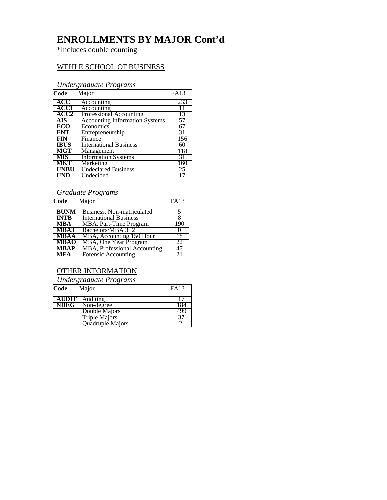## **ENROLLMENTS BY MAJOR Cont'd**

\*Includes double counting

#### WEHLE SCHOOL OF BUSINESS

#### *Undergraduate Programs*

| Code             | Major                                 | FA13 |
|------------------|---------------------------------------|------|
| <b>ACC</b>       | Accounting                            | 233  |
| ACC1             | Accounting                            | 11   |
| ACC <sub>2</sub> | Professional Accounting               | 13   |
| <b>AIS</b>       | <b>Accounting Information Systems</b> | 57   |
| <b>ECO</b>       | Economics                             | 67   |
| <b>ENT</b>       | Entrepreneurship                      | 31   |
| <b>FIN</b>       | Finance                               | 156  |
| <b>IBUS</b>      | <b>International Business</b>         | 60   |
| <b>MGT</b>       | Management                            | 118  |
| MIS              | <b>Information Systems</b>            | 31   |
| <b>MKT</b>       | Marketing                             | 160  |
| <b>UNBU</b>      | <b>Undeclared Business</b>            | 25   |
| UND              | Undecided                             |      |

#### *Graduate Programs*

| Code        | Major                                | FA13 |
|-------------|--------------------------------------|------|
|             |                                      |      |
| BUNM        | Business, Non-matriculated           |      |
| <b>INTB</b> | <b>International Business</b>        |      |
| <b>MBA</b>  | MBA, Part-Time Program               | 190  |
| MBA3        | Bachelors/MBA 3+2                    |      |
| <b>MBAA</b> | MBA, Accounting 150 Hour             | 18   |
| <b>MBAO</b> | MBA, One Year Program                | 22   |
| <b>MBAP</b> | <b>MBA</b> , Professional Accounting | 47   |
| MFA         | Forensic Accounting                  | 2.1  |

#### OTHER INFORMATION

*Undergraduate Programs*

| Code         | Major                | <b>FA13</b> |
|--------------|----------------------|-------------|
| <b>AUDIT</b> | <b>Auditing</b>      |             |
| <b>NDEG</b>  | Non-degree           | 184         |
|              | Double Majors        | 499         |
|              | <b>Triple Majors</b> |             |
|              | Quadruple Majors     |             |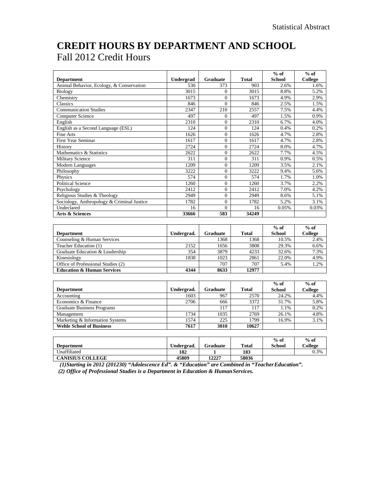## **CREDIT HOURS BY DEPARTMENT AND SCHOOL** Fall 2012 Credit Hours

'n

| <b>Department</b>                          | Undergrad  | <b>Graduate</b> | <b>Total</b> | $%$ of<br><b>School</b>     | $%$ of<br><b>College</b> |
|--------------------------------------------|------------|-----------------|--------------|-----------------------------|--------------------------|
| Animal Behavior, Ecology, & Conservation   | 530        | 373             | 903          | 2.6%                        | 1.6%                     |
| <b>Biology</b>                             | 3015       | $\Omega$        | 3015         | 8.8%                        | 5.2%                     |
| Chemistry                                  | 1673       | $\Omega$        | 1673         | 4.9%                        | 2.9%                     |
| Classics                                   | 846        | $\Omega$        | 846          | 2.5%                        | 1.5%                     |
| <b>Communication Studies</b>               | 2347       | 210             | 2557         | 7.5%                        | 4.4%                     |
| <b>Computer Science</b>                    | 497        | $\mathbf{0}$    | 497          | 1.5%                        | 0.9%                     |
| English                                    | 2310       | $\Omega$        | 2310         | 6.7%                        | 4.0%                     |
| English as a Second Language (ESL)         | 124        | $\theta$        | 124          | 0.4%                        | 0.2%                     |
| <b>Fine Arts</b>                           | 1626       | $\Omega$        | 1626         | 4.7%                        | 2.8%                     |
| <b>First Year Seminar</b>                  | 1617       | $\overline{0}$  | 1617         | 4.7%                        | 2.8%                     |
| History                                    | 2724       | $\Omega$        | 2724         | 8.0%                        | 4.7%                     |
| Mathematics & Statistics                   | 2622       | $\Omega$        | 2622         | 7.7%                        | 4.5%                     |
| <b>Military Science</b>                    | 311        | $\overline{0}$  | 311          | 0.9%                        | 0.5%                     |
| Modern Languages                           | 1209       | $\Omega$        | 1209         | 3.5%                        | 2.1%                     |
| Philosophy                                 | 3222       | $\Omega$        | 3222         | 9.4%                        | 5.6%                     |
| Physics                                    | 574        | $\Omega$        | 574          | 1.7%                        | 1.0%                     |
| <b>Political Science</b>                   | 1260       | $\Omega$        | 1260         | 3.7%                        | 2.2%                     |
| Psychology                                 | 2412       | $\Omega$        | 2412         | 7.0%                        | 4.2%                     |
| Religious Studies & Theology               | 2949       | $\overline{0}$  | 2949         | 8.6%                        | 5.1%                     |
| Sociology, Anthropology & Criminal Justice | 1782       | $\mathbf{0}$    | 1782         | 5.2%                        | 3.1%                     |
| Undeclared                                 | 16         | $\Omega$        | 16           | 0.05%                       | 0.03%                    |
| <b>Arts &amp; Sciences</b>                 | 33666      | 583             | 34249        |                             |                          |
|                                            |            |                 |              |                             |                          |
|                                            |            |                 |              | $\overline{\% \text{ of }}$ | $\overline{^{0}/_{0}$ of |
| <b>Department</b>                          | Undergrad. | <b>Graduate</b> | <b>Total</b> | <b>School</b>               | College                  |
| Counseling & Human Services                |            | 1368            | 1368         | 10.5%                       | 2.4%                     |
| Teacher Education (1)                      | 2152       | 1656            | 3808         | 29.3%                       | 6.6%                     |
| Graduate Education & Leadership            | 354        | 3879            | 4233         | 32.6%                       | 7.3%                     |
| Kinesiology                                | 1838       | 1023            | 2861         | 22.0%                       | 4.9%                     |
| Office of Professional Studies (2)         |            | 707             | 707          | 5.4%                        | 1.2%                     |
| <b>Education &amp; Human Services</b>      | 4344       | 8633            | 12977        |                             |                          |
|                                            |            |                 |              |                             |                          |
|                                            |            |                 |              | $%$ of                      | $%$ of                   |
| <b>Department</b>                          | Undergrad. | <b>Graduate</b> | <b>Total</b> | <b>School</b>               | <b>College</b>           |
| Accounting                                 | 1603       | 967             | 2570         | 24.2%                       | 4.4%                     |
| Economics & Finance                        | 2706       | 666             | 3372         | 31.7%                       | 5.8%                     |
| <b>Graduate Business Programs</b>          |            | 117             | 117          | 1.1%                        | 0.2%                     |
| Management                                 | 1734       | 1035            | 2769         | 26.1%                       | 4.8%                     |
| Marketing & Information Systems            | 1574       | 225             | 1799         | 16.9%                       | 3.1%                     |
| <b>Wehle School of Business</b>            | 7617       | 3010            | 10627        |                             |                          |
|                                            |            |                 |              |                             |                          |

| <b>Department</b>       | Undergrad. | Graduate | Total | $%$ of<br>School | $%$ of<br>College |
|-------------------------|------------|----------|-------|------------------|-------------------|
| Unaffiliated            | 182        |          | 183   |                  | 0.3%              |
| <b>CANISIUS COLLEGE</b> | 45809      | 12227    | 58036 |                  |                   |

*(1)Starting in 2012 (201230) "Adolescence Ed". & "Education" are Combined in "TeacherEducation".*

*(2) Office of Professional Studies is a Department in Education & Human Services.*